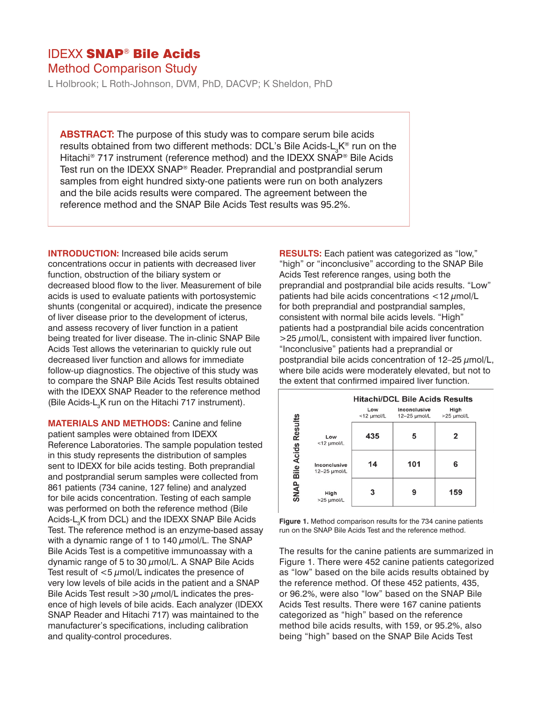## IDEXX SNAP® Bile Acids

Method Comparison Study

L Holbrook; L Roth-Johnson, DVM, PhD, DACVP; K Sheldon, PhD

**ABSTRACT:** The purpose of this study was to compare serum bile acids results obtained from two different methods: DCL's Bile Acids-L<sub>3</sub>K® run on the Hitachi<sup>®</sup> 717 instrument (reference method) and the IDEXX SNAP<sup>®</sup> Bile Acids Test run on the IDEXX SNAP® Reader. Preprandial and postprandial serum samples from eight hundred sixty-one patients were run on both analyzers and the bile acids results were compared. The agreement between the reference method and the SNAP Bile Acids Test results was 95.2%.

**INTRODUCTION:** Increased bile acids serum concentrations occur in patients with decreased liver function, obstruction of the biliary system or decreased blood flow to the liver. Measurement of bile acids is used to evaluate patients with portosystemic shunts (congenital or acquired), indicate the presence of liver disease prior to the development of icterus, and assess recovery of liver function in a patient being treated for liver disease. The in-clinic SNAP Bile Acids Test allows the veterinarian to quickly rule out decreased liver function and allows for immediate follow-up diagnostics. The objective of this study was to compare the SNAP Bile Acids Test results obtained with the IDEXX SNAP Reader to the reference method (Bile Acids- $L<sub>3</sub>K$  run on the Hitachi 717 instrument).

**MATERIALS AND METHODS:** Canine and feline patient samples were obtained from IDEXX Reference Laboratories. The sample population tested in this study represents the distribution of samples sent to IDEXX for bile acids testing. Both preprandial and postprandial serum samples were collected from 861 patients (734 canine, 127 feline) and analyzed for bile acids concentration. Testing of each sample was performed on both the reference method (Bile Acids-L<sub>3</sub>K from DCL) and the IDEXX SNAP Bile Acids Test. The reference method is an enzyme-based assay with a dynamic range of 1 to 140  $\mu$ mol/L. The SNAP Bile Acids Test is a competitive immunoassay with a dynamic range of 5 to 30  $\mu$ mol/L. A SNAP Bile Acids Test result of  $<$ 5  $\mu$ mol/L indicates the presence of very low levels of bile acids in the patient and a SNAP Bile Acids Test result  $>$ 30  $\mu$ mol/L indicates the presence of high levels of bile acids. Each analyzer (IDEXX SNAP Reader and Hitachi 717) was maintained to the manufacturer's specifications, including calibration and quality-control procedures.

**RESULTS:** Each patient was categorized as "low," "high" or "inconclusive" according to the SNAP Bile Acids Test reference ranges, using both the preprandial and postprandial bile acids results. "Low" patients had bile acids concentrations  $<$  12  $\mu$ mol/L for both preprandial and postprandial samples, consistent with normal bile acids levels. "High" patients had a postprandial bile acids concentration  $>$ 25  $\mu$ mol/L, consistent with impaired liver function. "Inconclusive" patients had a preprandial or postprandial bile acids concentration of  $12-25 \mu$ mol/L, where bile acids were moderately elevated, but not to the extent that confirmed impaired liver function.

|                         |                              | <b>Hitachi/DCL Bile Acids Results</b> |                              |                    |
|-------------------------|------------------------------|---------------------------------------|------------------------------|--------------------|
|                         |                              | Low<br>$<$ 12 $\mu$ mol/L             | Inconclusive<br>12-25 umol/L | High<br>>25 µmol/L |
| SNAP Bile Acids Results | Low<br><12 µmol/L            | 435                                   | 5                            | 2                  |
|                         | Inconclusive<br>12-25 umol/L | 14                                    | 101                          | 6                  |
|                         | High<br>>25 µmol/L           | 3                                     | 9                            | 159                |

**Figure 1.** Method comparison results for the 734 canine patients run on the SNAP Bile Acids Test and the reference method.

The results for the canine patients are summarized in Figure 1. There were 452 canine patients categorized as "low" based on the bile acids results obtained by the reference method. Of these 452 patients, 435, or 96.2%, were also "low" based on the SNAP Bile Acids Test results. There were 167 canine patients categorized as "high" based on the reference method bile acids results, with 159, or 95.2%, also being "high" based on the SNAP Bile Acids Test